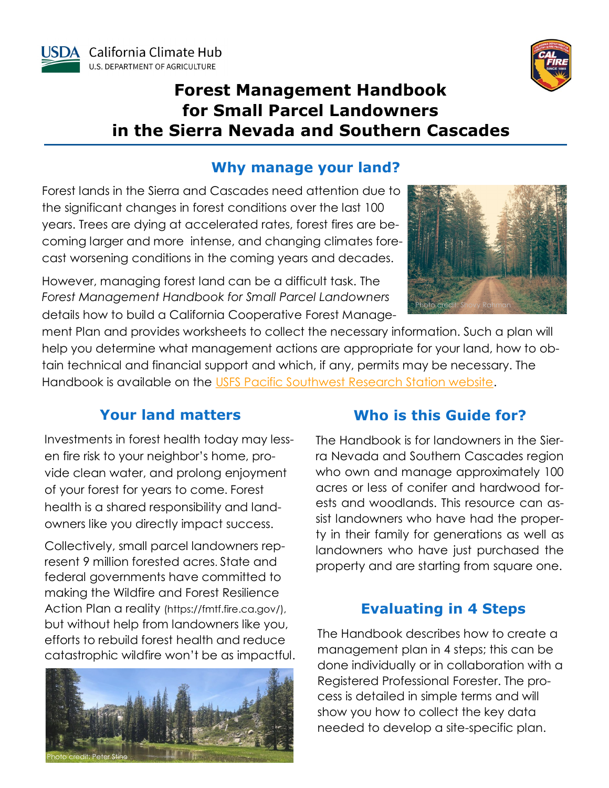



# **Forest Management Handbook for Small Parcel Landowners in the Sierra Nevada and Southern Cascades**

### **Why manage your land?**

Forest lands in the Sierra and Cascades need attention due to the significant changes in forest conditions over the last 100 years. Trees are dying at accelerated rates, forest fires are becoming larger and more intense, and changing climates forecast worsening conditions in the coming years and decades.

However, managing forest land can be a difficult task. The *Forest Management Handbook for Small Parcel Landowners*  details how to build a California Cooperative Forest Manage-



ment Plan and provides worksheets to collect the necessary information. Such a plan will help you determine what management actions are appropriate for your land, how to obtain technical and financial support and which, if any, permits may be necessary. The Handbook is available on the [USFS Pacific Southwest Research Station website.](https://www.fs.fed.us/psw/forestmanagementhandbook/) 

# **Your land matters**

Investments in forest health today may lessen fire risk to your neighbor's home, provide clean water, and prolong enjoyment of your forest for years to come. Forest health is a shared responsibility and landowners like you directly impact success.

Collectively, small parcel landowners represent 9 million forested acres. State and federal governments have committed to making the Wildfire and Forest Resilience Action Plan a reality (https://fmtf.fire.ca.gov/), but without help from landowners like you, efforts to rebuild forest health and reduce catastrophic wildfire won't be as impactful.



# **Who is this Guide for?**

The Handbook is for landowners in the Sierra Nevada and Southern Cascades region who own and manage approximately 100 acres or less of conifer and hardwood forests and woodlands. This resource can assist landowners who have had the property in their family for generations as well as landowners who have just purchased the property and are starting from square one.

# **Evaluating in 4 Steps**

The Handbook describes how to create a management plan in 4 steps; this can be done individually or in collaboration with a Registered Professional Forester. The process is detailed in simple terms and will show you how to collect the key data needed to develop a site-specific plan.